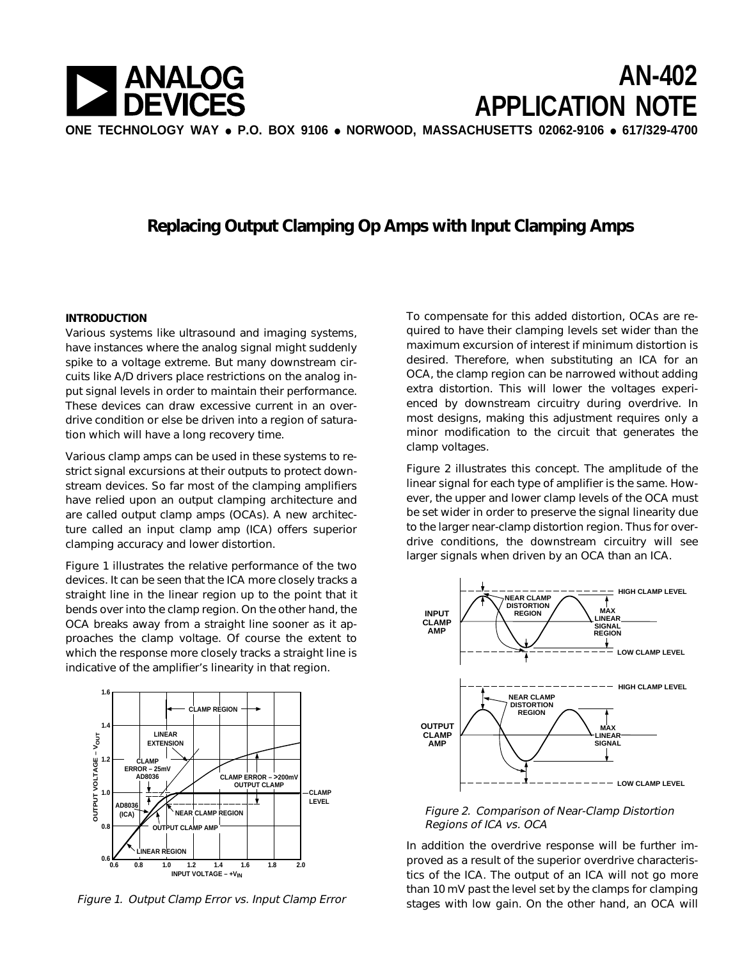

# **Replacing Output Clamping Op Amps with Input Clamping Amps**

### **INTRODUCTION**

Various systems like ultrasound and imaging systems, have instances where the analog signal might suddenly spike to a voltage extreme. But many downstream circuits like A/D drivers place restrictions on the analog input signal levels in order to maintain their performance. These devices can draw excessive current in an overdrive condition or else be driven into a region of saturation which will have a long recovery time.

Various clamp amps can be used in these systems to restrict signal excursions at their outputs to protect downstream devices. So far most of the clamping amplifiers have relied upon an output clamping architecture and are called output clamp amps (OCAs). A new architecture called an input clamp amp (ICA) offers superior clamping accuracy and lower distortion.

Figure 1 illustrates the relative performance of the two devices. It can be seen that the ICA more closely tracks a straight line in the linear region up to the point that it bends over into the clamp region. On the other hand, the OCA breaks away from a straight line sooner as it approaches the clamp voltage. Of course the extent to which the response more closely tracks a straight line is indicative of the amplifier's linearity in that region.



Figure 1. Output Clamp Error vs. Input Clamp Error

To compensate for this added distortion, OCAs are required to have their clamping levels set wider than the maximum excursion of interest if minimum distortion is desired. Therefore, when substituting an ICA for an OCA, the clamp region can be narrowed without adding extra distortion. This will lower the voltages experienced by downstream circuitry during overdrive. In most designs, making this adjustment requires only a minor modification to the circuit that generates the clamp voltages.

Figure 2 illustrates this concept. The amplitude of the linear signal for each type of amplifier is the same. However, the upper and lower clamp levels of the OCA must be set wider in order to preserve the signal linearity due to the larger near-clamp distortion region. Thus for overdrive conditions, the downstream circuitry will see larger signals when driven by an OCA than an ICA.



#### Figure 2. Comparison of Near-Clamp Distortion Regions of ICA vs. OCA

In addition the overdrive response will be further improved as a result of the superior overdrive characteristics of the ICA. The output of an ICA will not go more than 10 mV past the level set by the clamps for clamping stages with low gain. On the other hand, an OCA will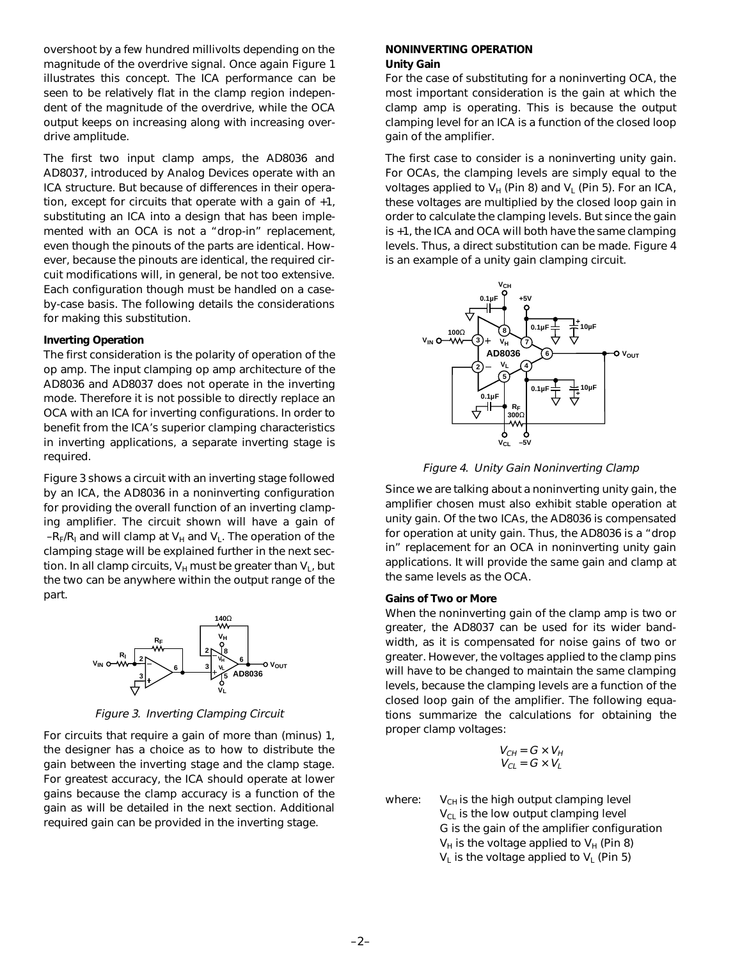overshoot by a few hundred millivolts depending on the magnitude of the overdrive signal. Once again Figure 1 illustrates this concept. The ICA performance can be seen to be relatively flat in the clamp region independent of the magnitude of the overdrive, while the OCA output keeps on increasing along with increasing overdrive amplitude.

The first two input clamp amps, the AD8036 and AD8037, introduced by Analog Devices operate with an ICA structure. But because of differences in their operation, except for circuits that operate with a gain of +1, substituting an ICA into a design that has been implemented with an OCA is not a "drop-in" replacement, even though the pinouts of the parts are identical. However, because the pinouts are identical, the required circuit modifications will, in general, be not too extensive. Each configuration though must be handled on a caseby-case basis. The following details the considerations for making this substitution.

#### **Inverting Operation**

The first consideration is the polarity of operation of the op amp. The input clamping op amp architecture of the AD8036 and AD8037 does not operate in the inverting mode. Therefore it is not possible to directly replace an OCA with an ICA for inverting configurations. In order to benefit from the ICA's superior clamping characteristics in inverting applications, a separate inverting stage is required.

Figure 3 shows a circuit with an inverting stage followed by an ICA, the AD8036 in a noninverting configuration for providing the overall function of an inverting clamping amplifier. The circuit shown will have a gain of  $-R_F/R<sub>I</sub>$  and will clamp at  $V_H$  and  $V_I$ . The operation of the clamping stage will be explained further in the next section. In all clamp circuits,  $V_H$  must be greater than  $V_L$ , but the two can be anywhere within the output range of the part.



Figure 3. Inverting Clamping Circuit

For circuits that require a gain of more than (minus) 1, the designer has a choice as to how to distribute the gain between the inverting stage and the clamp stage. For greatest accuracy, the ICA should operate at lower gains because the clamp accuracy is a function of the gain as will be detailed in the next section. Additional required gain can be provided in the inverting stage.

#### **NONINVERTING OPERATION Unity Gain**

For the case of substituting for a noninverting OCA, the most important consideration is the gain at which the clamp amp is operating. This is because the output clamping level for an ICA is a function of the closed loop gain of the amplifier.

The first case to consider is a noninverting unity gain. For OCAs, the clamping levels are simply equal to the voltages applied to  $V_H$  (Pin 8) and V<sub>I</sub> (Pin 5). For an ICA, these voltages are multiplied by the closed loop gain in order to calculate the clamping levels. But since the gain is +1, the ICA and OCA will both have the same clamping levels. Thus, a direct substitution can be made. Figure 4 is an example of a unity gain clamping circuit.



Figure 4. Unity Gain Noninverting Clamp

Since we are talking about a noninverting unity gain, the amplifier chosen must also exhibit stable operation at unity gain. Of the two ICAs, the AD8036 is compensated for operation at unity gain. Thus, the AD8036 is a "drop in" replacement for an OCA in noninverting unity gain applications. It will provide the same gain and clamp at the same levels as the OCA.

#### **Gains of Two or More**

When the noninverting gain of the clamp amp is two or greater, the AD8037 can be used for its wider bandwidth, as it is compensated for noise gains of two or greater. However, the voltages applied to the clamp pins will have to be changed to maintain the same clamping levels, because the clamping levels are a function of the closed loop gain of the amplifier. The following equations summarize the calculations for obtaining the proper clamp voltages:

$$
V_{CH} = G \times V_{H}
$$
  

$$
V_{CL} = G \times V_{L}
$$

where:  $V_{CH}$  is the high output clamping level  $V_{CL}$  is the low output clamping level G is the gain of the amplifier configuration  $V_H$  is the voltage applied to  $V_H$  (Pin 8)  $V_L$  is the voltage applied to  $V_L$  (Pin 5)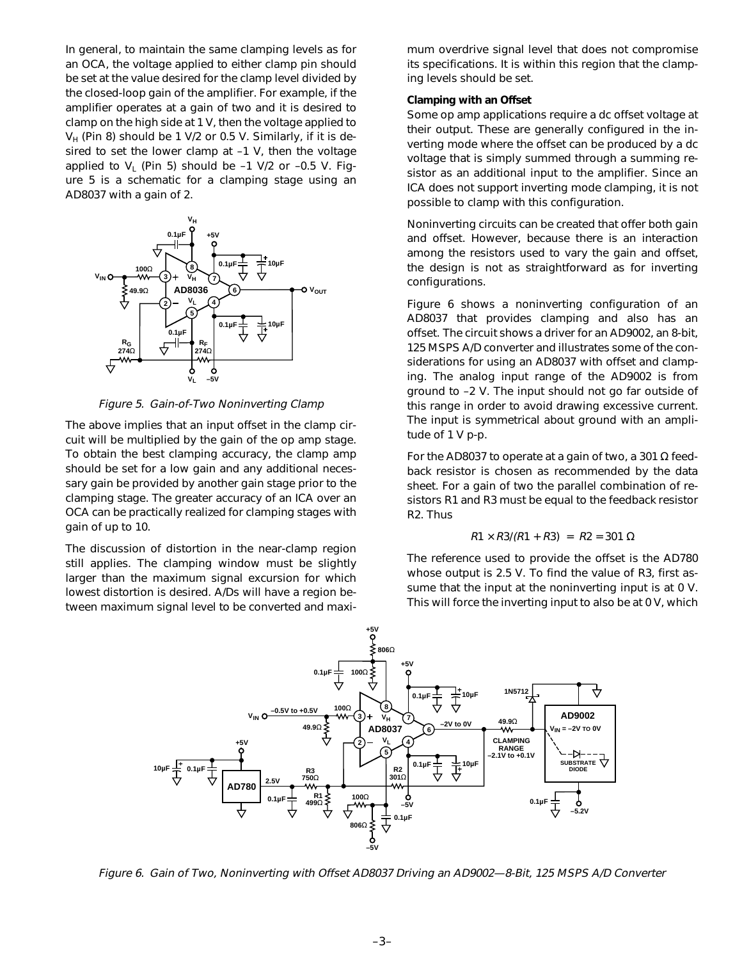In general, to maintain the same clamping levels as for an OCA, the voltage applied to either clamp pin should be set at the value desired for the clamp level divided by the closed-loop gain of the amplifier. For example, if the amplifier operates at a gain of two and it is desired to clamp on the high side at 1 V, then the voltage applied to  $V_H$  (Pin 8) should be 1 V/2 or 0.5 V. Similarly, if it is desired to set the lower clamp at –1 V, then the voltage applied to  $V_1$  (Pin 5) should be  $-1$  V/2 or  $-0.5$  V. Figure 5 is a schematic for a clamping stage using an AD8037 with a gain of 2.



Figure 5. Gain-of-Two Noninverting Clamp

The above implies that an input offset in the clamp circuit will be multiplied by the gain of the op amp stage. To obtain the best clamping accuracy, the clamp amp should be set for a low gain and any additional necessary gain be provided by another gain stage prior to the clamping stage. The greater accuracy of an ICA over an OCA can be practically realized for clamping stages with gain of up to 10.

The discussion of distortion in the near-clamp region still applies. The clamping window must be slightly larger than the maximum signal excursion for which lowest distortion is desired. A/Ds will have a region between maximum signal level to be converted and maximum overdrive signal level that does not compromise its specifications. It is within this region that the clamping levels should be set.

#### **Clamping with an Offset**

Some op amp applications require a dc offset voltage at their output. These are generally configured in the inverting mode where the offset can be produced by a dc voltage that is simply summed through a summing resistor as an additional input to the amplifier. Since an ICA does not support inverting mode clamping, it is not possible to clamp with this configuration.

Noninverting circuits can be created that offer both gain and offset. However, because there is an interaction among the resistors used to vary the gain and offset, the design is not as straightforward as for inverting configurations.

Figure 6 shows a noninverting configuration of an AD8037 that provides clamping and also has an offset. The circuit shows a driver for an AD9002, an 8-bit, 125 MSPS A/D converter and illustrates some of the considerations for using an AD8037 with offset and clamping. The analog input range of the AD9002 is from ground to –2 V. The input should not go far outside of this range in order to avoid drawing excessive current. The input is symmetrical about ground with an amplitude of 1 V p-p.

For the AD8037 to operate at a gain of two, a 301  $\Omega$  feedback resistor is chosen as recommended by the data sheet. For a gain of two the parallel combination of resistors R1 and R3 must be equal to the feedback resistor R2. Thus

#### $R1 \times R3/(R1 + R3) = R2 = 301 \Omega$

The reference used to provide the offset is the AD780 whose output is 2.5 V. To find the value of R3, first assume that the input at the noninverting input is at 0 V. This will force the inverting input to also be at 0 V, which



Figure 6. Gain of Two, Noninverting with Offset AD8037 Driving an AD9002—8-Bit, 125 MSPS A/D Converter